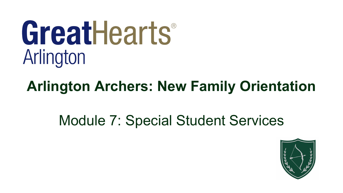# GreatHearts® Arlington

# **Arlington Archers: New Family Orientation**

# Module 7: Special Student Services

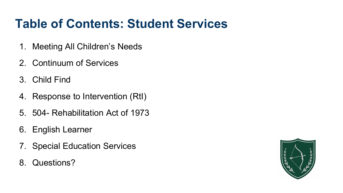#### **Table of Contents: Student Services**

- 1. Meeting All Children's Needs
- 2. Continuum of Services
- 3. Child Find
- 4. Response to Intervention (RtI)
- 5. 504- Rehabilitation Act of 1973
- 6. English Learner
- 7. Special Education Services
- 8. Questions?

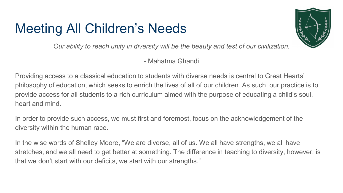## Meeting All Children's Needs



*Our ability to reach unity in diversity will be the beauty and test of our civilization.*

- Mahatma Ghandi

Providing access to a classical education to students with diverse needs is central to Great Hearts' philosophy of education, which seeks to enrich the lives of all of our children. As such, our practice is to provide access for all students to a rich curriculum aimed with the purpose of educating a child's soul, heart and mind.

In order to provide such access, we must first and foremost, focus on the acknowledgement of the diversity within the human race.

In the wise words of Shelley Moore, "We are diverse, all of us. We all have strengths, we all have stretches, and we all need to get better at something. The difference in teaching to diversity, however, is that we don't start with our deficits, we start with our strengths."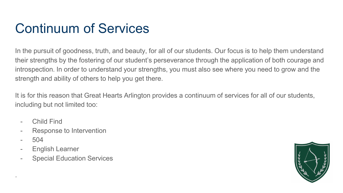## Continuum of Services

In the pursuit of goodness, truth, and beauty, for all of our students. Our focus is to help them understand their strengths by the fostering of our student's perseverance through the application of both courage and introspection. In order to understand your strengths, you must also see where you need to grow and the strength and ability of others to help you get there.

It is for this reason that Great Hearts Arlington provides a continuum of services for all of our students, including but not limited too:

- Child Find
- Response to Intervention
- 504

.

- English Learner
- Special Education Services

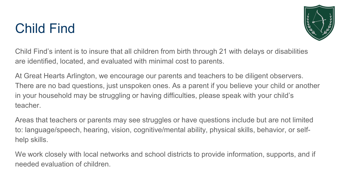## Child Find



Child Find's intent is to insure that all children from birth through 21 with delays or disabilities are identified, located, and evaluated with minimal cost to parents.

At Great Hearts Arlington, we encourage our parents and teachers to be diligent observers. There are no bad questions, just unspoken ones. As a parent if you believe your child or another in your household may be struggling or having difficulties, please speak with your child's teacher.

Areas that teachers or parents may see struggles or have questions include but are not limited to: language/speech, hearing, vision, cognitive/mental ability, physical skills, behavior, or selfhelp skills.

We work closely with local networks and school districts to provide information, supports, and if needed evaluation of children.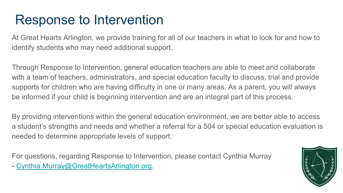#### Response to Intervention

At Great Hearts Arlington, we provide training for all of our teachers in what to look for and how to identify students who may need additional support.

Through Response to Intervention, general education teachers are able to meet and collaborate with a team of teachers, administrators, and special education faculty to discuss, trial and provide supports for children who are having difficulty in one or many areas. As a parent, you will always be informed if your child is beginning intervention and are an integral part of this process.

By providing interventions within the general education environment, we are better able to access a student's strengths and needs and whether a referral for a 504 or special education evaluation is needed to determine appropriate levels of support.

For questions, regarding Response to Intervention, please contact Cynthia Murray

- [Cynthia.Murray@GreatHeartsArlington.org.](mailto:Cynthia.Murray@GreatHeartsArlington.org)

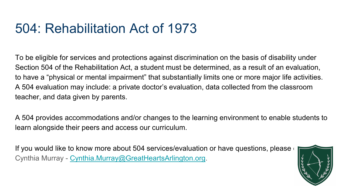#### 504: Rehabilitation Act of 1973

To be eligible for services and protections against discrimination on the basis of disability under Section 504 of the Rehabilitation Act, a student must be determined, as a result of an evaluation, to have a "physical or mental impairment" that substantially limits one or more major life activities. A 504 evaluation may include: a private doctor's evaluation, data collected from the classroom teacher, and data given by parents.

A 504 provides accommodations and/or changes to the learning environment to enable students to learn alongside their peers and access our curriculum.

If you would like to know more about 504 services/evaluation or have questions, please Cynthia Murray - [Cynthia.Murray@GreatHeartsArlington.org](mailto:Cynthia.Murray@GreatHeartsArlington.org).

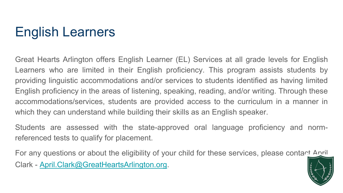# English Learners

Great Hearts Arlington offers English Learner (EL) Services at all grade levels for English Learners who are limited in their English proficiency. This program assists students by providing linguistic accommodations and/or services to students identified as having limited English proficiency in the areas of listening, speaking, reading, and/or writing. Through these accommodations/services, students are provided access to the curriculum in a manner in which they can understand while building their skills as an English speaker.

Students are assessed with the state-approved oral language proficiency and normreferenced tests to qualify for placement.

For any questions or about the eligibility of your child for these services, please contact April Clark - [April.Clark@GreatHeartsArlington.org.](mailto:April.Clark@GreatHeartsArlington.org)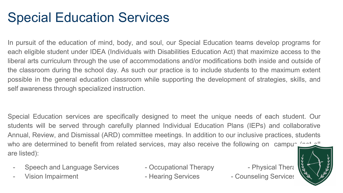## Special Education Services

In pursuit of the education of mind, body, and soul, our Special Education teams develop programs for each eligible student under IDEA (Individuals with Disabilities Education Act) that maximize access to the liberal arts curriculum through the use of accommodations and/or modifications both inside and outside of the classroom during the school day. As such our practice is to include students to the maximum extent possible in the general education classroom while supporting the development of strategies, skills, and self awareness through specialized instruction.

Special Education services are specifically designed to meet the unique needs of each student. Our students will be served through carefully planned Individual Education Plans (IEPs) and collaborative Annual, Review, and Dismissal (ARD) committee meetings. In addition to our inclusive practices, students who are determined to benefit from related services, may also receive the following on campus (not all are listed):

- Speech and Language Services Occupational Therapy Physical Therapy
- 

Vision Impairment **Access Entity Counseling Services** - Counseling Services

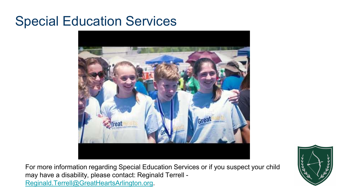#### Special Education Services



For more information regarding Special Education Services or if you suspect your child may have a disability, please contact: Reginald Terrell - [Reginald.Terrell@GreatHeartsArlington.org](mailto:Reginald.Terrell@GreatHeartsArlington.org).